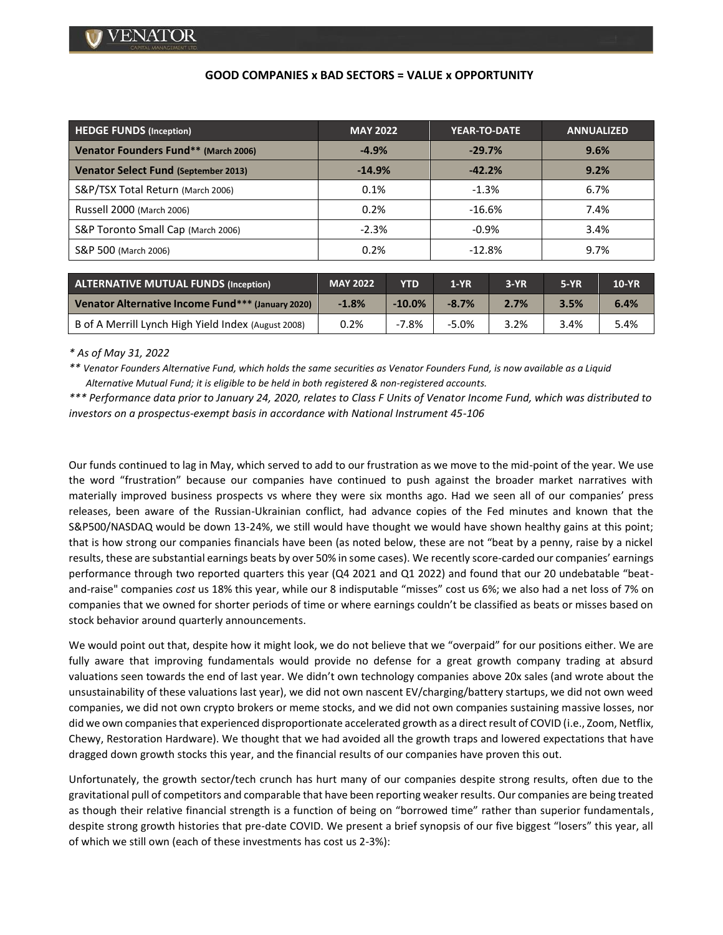## **GOOD COMPANIES x BAD SECTORS = VALUE x OPPORTUNITY**

| <b>HEDGE FUNDS (Inception)</b>              | <b>MAY 2022</b> | YEAR-TO-DATE | <b>ANNUALIZED</b> |  |
|---------------------------------------------|-----------------|--------------|-------------------|--|
| Venator Founders Fund** (March 2006)        | $-4.9%$         | $-29.7%$     | $9.6\%$           |  |
| <b>Venator Select Fund (September 2013)</b> | $-14.9%$        | $-42.2%$     | 9.2%              |  |
| S&P/TSX Total Return (March 2006)           | 0.1%            | $-1.3%$      | 6.7%              |  |
| Russell 2000 (March 2006)                   | 0.2%            | $-16.6%$     | 7.4%              |  |
| S&P Toronto Small Cap (March 2006)          | $-2.3%$         | $-0.9%$      | 3.4%              |  |
| S&P 500 (March 2006)                        | 0.2%            | $-12.8%$     | 9.7%              |  |

| ALTERNATIVE MUTUAL FUNDS (Inception)                | <b>MAY 2022</b> | YTD      | $1-YR$  | $3-YR$ | $5-YR$ | <b>10-YR</b> |
|-----------------------------------------------------|-----------------|----------|---------|--------|--------|--------------|
| Venator Alternative Income Fund*** (January 2020)   | $-1.8%$         | $-10.0%$ | $-8.7%$ | 2.7%   | 3.5%   | 6.4%         |
| B of A Merrill Lynch High Yield Index (August 2008) | 0.2%            | -7.8%    | $-5.0%$ | 3.2%   | 3.4%   | 5.4%         |

*\* As of May 31, 2022*

*\*\* Venator Founders Alternative Fund, which holds the same securities as Venator Founders Fund, is now available as a Liquid Alternative Mutual Fund; it is eligible to be held in both registered & non-registered accounts.*

*\*\*\* Performance data prior to January 24, 2020, relates to Class F Units of Venator Income Fund, which was distributed to investors on a prospectus-exempt basis in accordance with National Instrument 45-106*

Our funds continued to lag in May, which served to add to our frustration as we move to the mid-point of the year. We use the word "frustration" because our companies have continued to push against the broader market narratives with materially improved business prospects vs where they were six months ago. Had we seen all of our companies' press releases, been aware of the Russian-Ukrainian conflict, had advance copies of the Fed minutes and known that the S&P500/NASDAQ would be down 13-24%, we still would have thought we would have shown healthy gains at this point; that is how strong our companies financials have been (as noted below, these are not "beat by a penny, raise by a nickel results, these are substantial earnings beats by over 50% in some cases). We recently score-carded our companies' earnings performance through two reported quarters this year (Q4 2021 and Q1 2022) and found that our 20 undebatable "beatand-raise" companies *cost* us 18% this year, while our 8 indisputable "misses" cost us 6%; we also had a net loss of 7% on companies that we owned for shorter periods of time or where earnings couldn't be classified as beats or misses based on stock behavior around quarterly announcements.

We would point out that, despite how it might look, we do not believe that we "overpaid" for our positions either. We are fully aware that improving fundamentals would provide no defense for a great growth company trading at absurd valuations seen towards the end of last year. We didn't own technology companies above 20x sales (and wrote about the unsustainability of these valuations last year), we did not own nascent EV/charging/battery startups, we did not own weed companies, we did not own crypto brokers or meme stocks, and we did not own companies sustaining massive losses, nor did we own companies that experienced disproportionate accelerated growth as a direct result of COVID (i.e., Zoom, Netflix, Chewy, Restoration Hardware). We thought that we had avoided all the growth traps and lowered expectations that have dragged down growth stocks this year, and the financial results of our companies have proven this out.

Unfortunately, the growth sector/tech crunch has hurt many of our companies despite strong results, often due to the gravitational pull of competitors and comparable that have been reporting weaker results. Our companies are being treated as though their relative financial strength is a function of being on "borrowed time" rather than superior fundamentals, despite strong growth histories that pre-date COVID. We present a brief synopsis of our five biggest "losers" this year, all of which we still own (each of these investments has cost us 2-3%):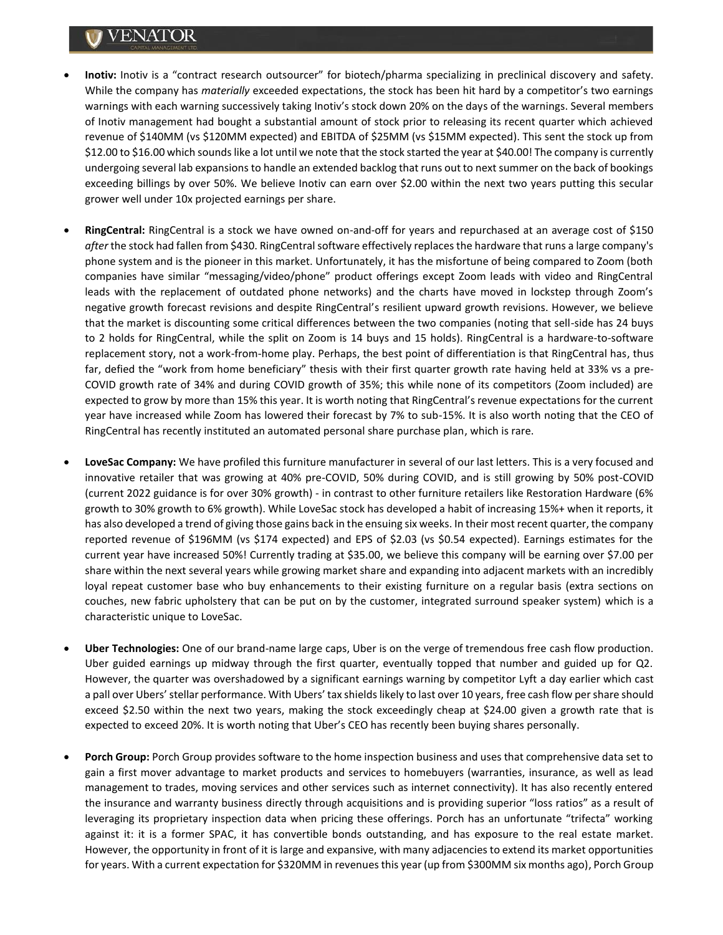## VENATOR

- **Inotiv:** Inotiv is a "contract research outsourcer" for biotech/pharma specializing in preclinical discovery and safety. While the company has *materially* exceeded expectations, the stock has been hit hard by a competitor's two earnings warnings with each warning successively taking Inotiv's stock down 20% on the days of the warnings. Several members of Inotiv management had bought a substantial amount of stock prior to releasing its recent quarter which achieved revenue of \$140MM (vs \$120MM expected) and EBITDA of \$25MM (vs \$15MM expected). This sent the stock up from \$12.00 to \$16.00 which sounds like a lot until we note that the stock started the year at \$40.00! The company is currently undergoing several lab expansions to handle an extended backlog that runs out to next summer on the back of bookings exceeding billings by over 50%. We believe Inotiv can earn over \$2.00 within the next two years putting this secular grower well under 10x projected earnings per share.
- **RingCentral:** RingCentral is a stock we have owned on-and-off for years and repurchased at an average cost of \$150 *after* the stock had fallen from \$430. RingCentral software effectively replaces the hardware that runs a large company's phone system and is the pioneer in this market. Unfortunately, it has the misfortune of being compared to Zoom (both companies have similar "messaging/video/phone" product offerings except Zoom leads with video and RingCentral leads with the replacement of outdated phone networks) and the charts have moved in lockstep through Zoom's negative growth forecast revisions and despite RingCentral's resilient upward growth revisions. However, we believe that the market is discounting some critical differences between the two companies (noting that sell-side has 24 buys to 2 holds for RingCentral, while the split on Zoom is 14 buys and 15 holds). RingCentral is a hardware-to-software replacement story, not a work-from-home play. Perhaps, the best point of differentiation is that RingCentral has, thus far, defied the "work from home beneficiary" thesis with their first quarter growth rate having held at 33% vs a pre-COVID growth rate of 34% and during COVID growth of 35%; this while none of its competitors (Zoom included) are expected to grow by more than 15% this year. It is worth noting that RingCentral's revenue expectations for the current year have increased while Zoom has lowered their forecast by 7% to sub-15%. It is also worth noting that the CEO of RingCentral has recently instituted an automated personal share purchase plan, which is rare.
- **LoveSac Company:** We have profiled this furniture manufacturer in several of our last letters. This is a very focused and innovative retailer that was growing at 40% pre-COVID, 50% during COVID, and is still growing by 50% post-COVID (current 2022 guidance is for over 30% growth) - in contrast to other furniture retailers like Restoration Hardware (6% growth to 30% growth to 6% growth). While LoveSac stock has developed a habit of increasing 15%+ when it reports, it has also developed a trend of giving those gains back in the ensuing six weeks. In their most recent quarter, the company reported revenue of \$196MM (vs \$174 expected) and EPS of \$2.03 (vs \$0.54 expected). Earnings estimates for the current year have increased 50%! Currently trading at \$35.00, we believe this company will be earning over \$7.00 per share within the next several years while growing market share and expanding into adjacent markets with an incredibly loyal repeat customer base who buy enhancements to their existing furniture on a regular basis (extra sections on couches, new fabric upholstery that can be put on by the customer, integrated surround speaker system) which is a characteristic unique to LoveSac.
- **Uber Technologies:** One of our brand-name large caps, Uber is on the verge of tremendous free cash flow production. Uber guided earnings up midway through the first quarter, eventually topped that number and guided up for Q2. However, the quarter was overshadowed by a significant earnings warning by competitor Lyft a day earlier which cast a pall over Ubers' stellar performance. With Ubers' tax shields likely to last over 10 years, free cash flow per share should exceed \$2.50 within the next two years, making the stock exceedingly cheap at \$24.00 given a growth rate that is expected to exceed 20%. It is worth noting that Uber's CEO has recently been buying shares personally.
- **Porch Group:** Porch Group provides software to the home inspection business and uses that comprehensive data set to gain a first mover advantage to market products and services to homebuyers (warranties, insurance, as well as lead management to trades, moving services and other services such as internet connectivity). It has also recently entered the insurance and warranty business directly through acquisitions and is providing superior "loss ratios" as a result of leveraging its proprietary inspection data when pricing these offerings. Porch has an unfortunate "trifecta" working against it: it is a former SPAC, it has convertible bonds outstanding, and has exposure to the real estate market. However, the opportunity in front of it is large and expansive, with many adjacencies to extend its market opportunities for years. With a current expectation for \$320MM in revenues this year (up from \$300MM six months ago), Porch Group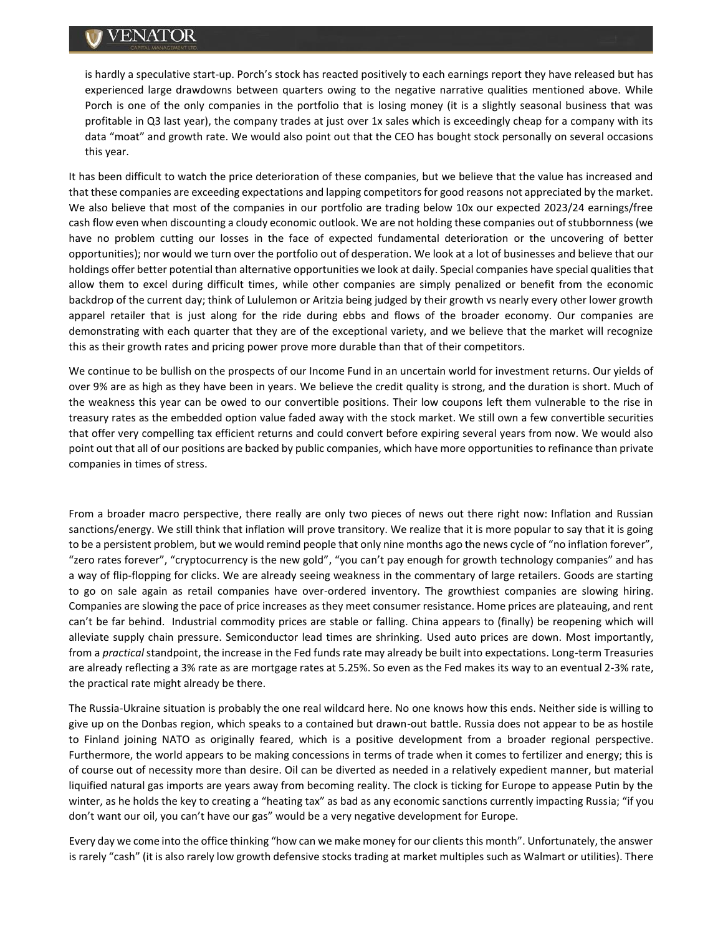## VENATOR

is hardly a speculative start-up. Porch's stock has reacted positively to each earnings report they have released but has experienced large drawdowns between quarters owing to the negative narrative qualities mentioned above. While Porch is one of the only companies in the portfolio that is losing money (it is a slightly seasonal business that was profitable in Q3 last year), the company trades at just over 1x sales which is exceedingly cheap for a company with its data "moat" and growth rate. We would also point out that the CEO has bought stock personally on several occasions this year.

It has been difficult to watch the price deterioration of these companies, but we believe that the value has increased and that these companies are exceeding expectations and lapping competitors for good reasons not appreciated by the market. We also believe that most of the companies in our portfolio are trading below 10x our expected 2023/24 earnings/free cash flow even when discounting a cloudy economic outlook. We are not holding these companies out of stubbornness (we have no problem cutting our losses in the face of expected fundamental deterioration or the uncovering of better opportunities); nor would we turn over the portfolio out of desperation. We look at a lot of businesses and believe that our holdings offer better potential than alternative opportunities we look at daily. Special companies have special qualities that allow them to excel during difficult times, while other companies are simply penalized or benefit from the economic backdrop of the current day; think of Lululemon or Aritzia being judged by their growth vs nearly every other lower growth apparel retailer that is just along for the ride during ebbs and flows of the broader economy. Our companies are demonstrating with each quarter that they are of the exceptional variety, and we believe that the market will recognize this as their growth rates and pricing power prove more durable than that of their competitors.

We continue to be bullish on the prospects of our Income Fund in an uncertain world for investment returns. Our yields of over 9% are as high as they have been in years. We believe the credit quality is strong, and the duration is short. Much of the weakness this year can be owed to our convertible positions. Their low coupons left them vulnerable to the rise in treasury rates as the embedded option value faded away with the stock market. We still own a few convertible securities that offer very compelling tax efficient returns and could convert before expiring several years from now. We would also point out that all of our positions are backed by public companies, which have more opportunities to refinance than private companies in times of stress.

From a broader macro perspective, there really are only two pieces of news out there right now: Inflation and Russian sanctions/energy. We still think that inflation will prove transitory. We realize that it is more popular to say that it is going to be a persistent problem, but we would remind people that only nine months ago the news cycle of "no inflation forever", "zero rates forever", "cryptocurrency is the new gold", "you can't pay enough for growth technology companies" and has a way of flip-flopping for clicks. We are already seeing weakness in the commentary of large retailers. Goods are starting to go on sale again as retail companies have over-ordered inventory. The growthiest companies are slowing hiring. Companies are slowing the pace of price increases as they meet consumer resistance. Home prices are plateauing, and rent can't be far behind. Industrial commodity prices are stable or falling. China appears to (finally) be reopening which will alleviate supply chain pressure. Semiconductor lead times are shrinking. Used auto prices are down. Most importantly, from a *practical* standpoint, the increase in the Fed funds rate may already be built into expectations. Long-term Treasuries are already reflecting a 3% rate as are mortgage rates at 5.25%. So even as the Fed makes its way to an eventual 2-3% rate, the practical rate might already be there.

The Russia-Ukraine situation is probably the one real wildcard here. No one knows how this ends. Neither side is willing to give up on the Donbas region, which speaks to a contained but drawn-out battle. Russia does not appear to be as hostile to Finland joining NATO as originally feared, which is a positive development from a broader regional perspective. Furthermore, the world appears to be making concessions in terms of trade when it comes to fertilizer and energy; this is of course out of necessity more than desire. Oil can be diverted as needed in a relatively expedient manner, but material liquified natural gas imports are years away from becoming reality. The clock is ticking for Europe to appease Putin by the winter, as he holds the key to creating a "heating tax" as bad as any economic sanctions currently impacting Russia; "if you don't want our oil, you can't have our gas" would be a very negative development for Europe.

Every day we come into the office thinking "how can we make money for our clients this month". Unfortunately, the answer is rarely "cash" (it is also rarely low growth defensive stocks trading at market multiples such as Walmart or utilities). There